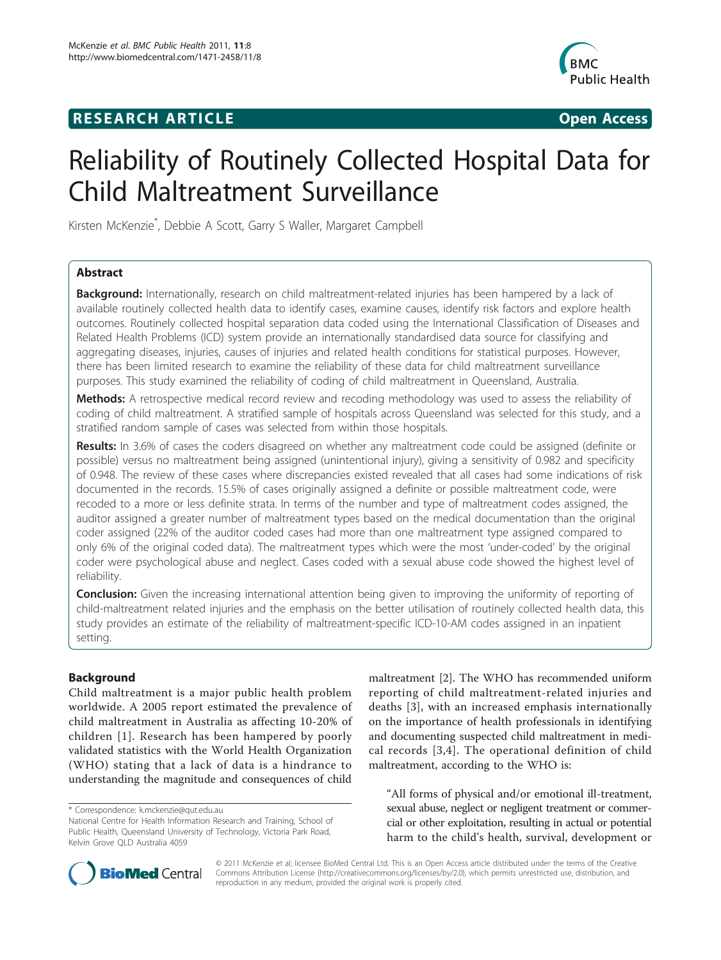## **RESEARCH ARTICLE Example 2018 CONSIDERING ACCESS**



# Reliability of Routinely Collected Hospital Data for Child Maltreatment Surveillance

Kirsten McKenzie\* , Debbie A Scott, Garry S Waller, Margaret Campbell

## Abstract

**Background:** Internationally, research on child maltreatment-related injuries has been hampered by a lack of available routinely collected health data to identify cases, examine causes, identify risk factors and explore health outcomes. Routinely collected hospital separation data coded using the International Classification of Diseases and Related Health Problems (ICD) system provide an internationally standardised data source for classifying and aggregating diseases, injuries, causes of injuries and related health conditions for statistical purposes. However, there has been limited research to examine the reliability of these data for child maltreatment surveillance purposes. This study examined the reliability of coding of child maltreatment in Queensland, Australia.

Methods: A retrospective medical record review and recoding methodology was used to assess the reliability of coding of child maltreatment. A stratified sample of hospitals across Queensland was selected for this study, and a stratified random sample of cases was selected from within those hospitals.

Results: In 3.6% of cases the coders disagreed on whether any maltreatment code could be assigned (definite or possible) versus no maltreatment being assigned (unintentional injury), giving a sensitivity of 0.982 and specificity of 0.948. The review of these cases where discrepancies existed revealed that all cases had some indications of risk documented in the records. 15.5% of cases originally assigned a definite or possible maltreatment code, were recoded to a more or less definite strata. In terms of the number and type of maltreatment codes assigned, the auditor assigned a greater number of maltreatment types based on the medical documentation than the original coder assigned (22% of the auditor coded cases had more than one maltreatment type assigned compared to only 6% of the original coded data). The maltreatment types which were the most 'under-coded' by the original coder were psychological abuse and neglect. Cases coded with a sexual abuse code showed the highest level of reliability.

**Conclusion:** Given the increasing international attention being given to improving the uniformity of reporting of child-maltreatment related injuries and the emphasis on the better utilisation of routinely collected health data, this study provides an estimate of the reliability of maltreatment-specific ICD-10-AM codes assigned in an inpatient setting.

## Background

Child maltreatment is a major public health problem worldwide. A 2005 report estimated the prevalence of child maltreatment in Australia as affecting 10-20% of children [\[1\]](#page-6-0). Research has been hampered by poorly validated statistics with the World Health Organization (WHO) stating that a lack of data is a hindrance to understanding the magnitude and consequences of child

maltreatment [\[2\]](#page-6-0). The WHO has recommended uniform reporting of child maltreatment-related injuries and deaths [[3](#page-6-0)], with an increased emphasis internationally on the importance of health professionals in identifying and documenting suspected child maltreatment in medical records [[3](#page-6-0),[4\]](#page-6-0). The operational definition of child maltreatment, according to the WHO is:

"All forms of physical and/or emotional ill-treatment, sexual abuse, neglect or negligent treatment or commercial or other exploitation, resulting in actual or potential harm to the child's health, survival, development or



© 2011 McKenzie et al; licensee BioMed Central Ltd. This is an Open Access article distributed under the terms of the Creative Commons Attribution License [\(http://creativecommons.org/licenses/by/2.0](http://creativecommons.org/licenses/by/2.0)), which permits unrestricted use, distribution, and reproduction in any medium, provided the original work is properly cited.

<sup>\*</sup> Correspondence: [k.mckenzie@qut.edu.au](mailto:k.mckenzie@qut.edu.au)

National Centre for Health Information Research and Training, School of Public Health, Queensland University of Technology, Victoria Park Road, Kelvin Grove QLD Australia 4059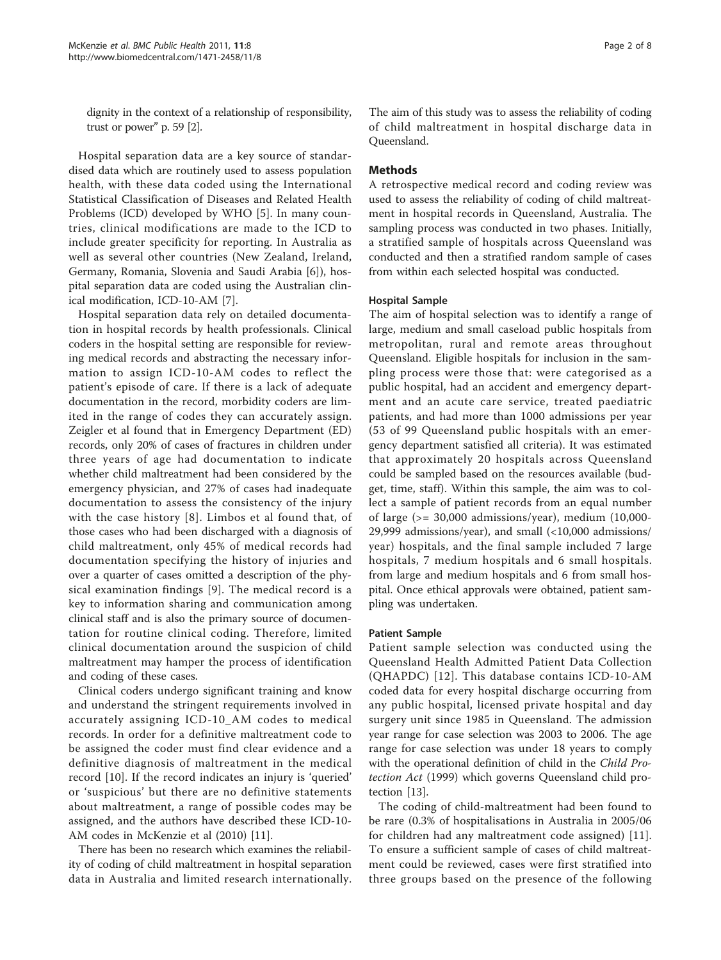dignity in the context of a relationship of responsibility, trust or power" p. 59 [[2](#page-6-0)].

Hospital separation data are a key source of standardised data which are routinely used to assess population health, with these data coded using the International Statistical Classification of Diseases and Related Health Problems (ICD) developed by WHO [[5\]](#page-6-0). In many countries, clinical modifications are made to the ICD to include greater specificity for reporting. In Australia as well as several other countries (New Zealand, Ireland, Germany, Romania, Slovenia and Saudi Arabia [\[6\]](#page-6-0)), hospital separation data are coded using the Australian clinical modification, ICD-10-AM [[7\]](#page-6-0).

Hospital separation data rely on detailed documentation in hospital records by health professionals. Clinical coders in the hospital setting are responsible for reviewing medical records and abstracting the necessary information to assign ICD-10-AM codes to reflect the patient's episode of care. If there is a lack of adequate documentation in the record, morbidity coders are limited in the range of codes they can accurately assign. Zeigler et al found that in Emergency Department (ED) records, only 20% of cases of fractures in children under three years of age had documentation to indicate whether child maltreatment had been considered by the emergency physician, and 27% of cases had inadequate documentation to assess the consistency of the injury with the case history [[8](#page-6-0)]. Limbos et al found that, of those cases who had been discharged with a diagnosis of child maltreatment, only 45% of medical records had documentation specifying the history of injuries and over a quarter of cases omitted a description of the physical examination findings [[9\]](#page-6-0). The medical record is a key to information sharing and communication among clinical staff and is also the primary source of documentation for routine clinical coding. Therefore, limited clinical documentation around the suspicion of child maltreatment may hamper the process of identification and coding of these cases.

Clinical coders undergo significant training and know and understand the stringent requirements involved in accurately assigning ICD-10\_AM codes to medical records. In order for a definitive maltreatment code to be assigned the coder must find clear evidence and a definitive diagnosis of maltreatment in the medical record [\[10\]](#page-6-0). If the record indicates an injury is 'queried' or 'suspicious' but there are no definitive statements about maltreatment, a range of possible codes may be assigned, and the authors have described these ICD-10- AM codes in McKenzie et al (2010) [\[11](#page-6-0)].

There has been no research which examines the reliability of coding of child maltreatment in hospital separation data in Australia and limited research internationally. The aim of this study was to assess the reliability of coding of child maltreatment in hospital discharge data in Queensland.

## Methods

A retrospective medical record and coding review was used to assess the reliability of coding of child maltreatment in hospital records in Queensland, Australia. The sampling process was conducted in two phases. Initially, a stratified sample of hospitals across Queensland was conducted and then a stratified random sample of cases from within each selected hospital was conducted.

#### Hospital Sample

The aim of hospital selection was to identify a range of large, medium and small caseload public hospitals from metropolitan, rural and remote areas throughout Queensland. Eligible hospitals for inclusion in the sampling process were those that: were categorised as a public hospital, had an accident and emergency department and an acute care service, treated paediatric patients, and had more than 1000 admissions per year (53 of 99 Queensland public hospitals with an emergency department satisfied all criteria). It was estimated that approximately 20 hospitals across Queensland could be sampled based on the resources available (budget, time, staff). Within this sample, the aim was to collect a sample of patient records from an equal number of large (>= 30,000 admissions/year), medium (10,000- 29,999 admissions/year), and small (<10,000 admissions/ year) hospitals, and the final sample included 7 large hospitals, 7 medium hospitals and 6 small hospitals. from large and medium hospitals and 6 from small hospital. Once ethical approvals were obtained, patient sampling was undertaken.

#### Patient Sample

Patient sample selection was conducted using the Queensland Health Admitted Patient Data Collection (QHAPDC) [[12](#page-6-0)]. This database contains ICD-10-AM coded data for every hospital discharge occurring from any public hospital, licensed private hospital and day surgery unit since 1985 in Queensland. The admission year range for case selection was 2003 to 2006. The age range for case selection was under 18 years to comply with the operational definition of child in the Child Protection Act (1999) which governs Queensland child protection [\[13\]](#page-7-0).

The coding of child-maltreatment had been found to be rare (0.3% of hospitalisations in Australia in 2005/06 for children had any maltreatment code assigned) [[11](#page-6-0)]. To ensure a sufficient sample of cases of child maltreatment could be reviewed, cases were first stratified into three groups based on the presence of the following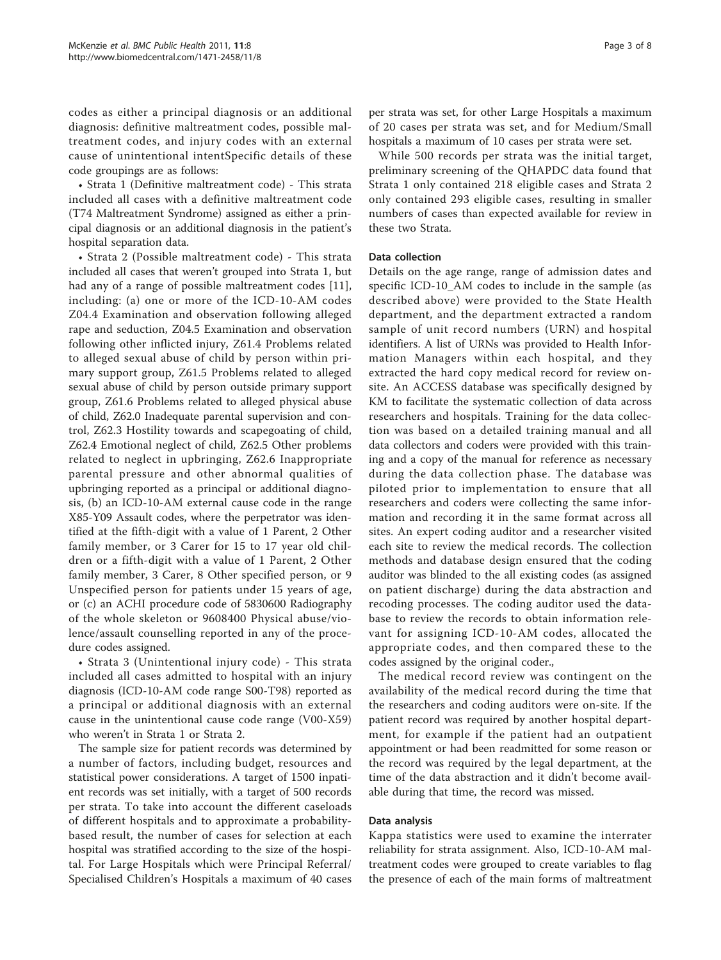codes as either a principal diagnosis or an additional diagnosis: definitive maltreatment codes, possible maltreatment codes, and injury codes with an external cause of unintentional intentSpecific details of these code groupings are as follows:

• Strata 1 (Definitive maltreatment code) - This strata included all cases with a definitive maltreatment code (T74 Maltreatment Syndrome) assigned as either a principal diagnosis or an additional diagnosis in the patient's hospital separation data.

• Strata 2 (Possible maltreatment code) - This strata included all cases that weren't grouped into Strata 1, but had any of a range of possible maltreatment codes [\[11](#page-6-0)], including: (a) one or more of the ICD-10-AM codes Z04.4 Examination and observation following alleged rape and seduction, Z04.5 Examination and observation following other inflicted injury, Z61.4 Problems related to alleged sexual abuse of child by person within primary support group, Z61.5 Problems related to alleged sexual abuse of child by person outside primary support group, Z61.6 Problems related to alleged physical abuse of child, Z62.0 Inadequate parental supervision and control, Z62.3 Hostility towards and scapegoating of child, Z62.4 Emotional neglect of child, Z62.5 Other problems related to neglect in upbringing, Z62.6 Inappropriate parental pressure and other abnormal qualities of upbringing reported as a principal or additional diagnosis, (b) an ICD-10-AM external cause code in the range X85-Y09 Assault codes, where the perpetrator was identified at the fifth-digit with a value of 1 Parent, 2 Other family member, or 3 Carer for 15 to 17 year old children or a fifth-digit with a value of 1 Parent, 2 Other family member, 3 Carer, 8 Other specified person, or 9 Unspecified person for patients under 15 years of age, or (c) an ACHI procedure code of 5830600 Radiography of the whole skeleton or 9608400 Physical abuse/violence/assault counselling reported in any of the procedure codes assigned.

• Strata 3 (Unintentional injury code) - This strata included all cases admitted to hospital with an injury diagnosis (ICD-10-AM code range S00-T98) reported as a principal or additional diagnosis with an external cause in the unintentional cause code range (V00-X59) who weren't in Strata 1 or Strata 2.

The sample size for patient records was determined by a number of factors, including budget, resources and statistical power considerations. A target of 1500 inpatient records was set initially, with a target of 500 records per strata. To take into account the different caseloads of different hospitals and to approximate a probabilitybased result, the number of cases for selection at each hospital was stratified according to the size of the hospital. For Large Hospitals which were Principal Referral/ Specialised Children's Hospitals a maximum of 40 cases

per strata was set, for other Large Hospitals a maximum of 20 cases per strata was set, and for Medium/Small hospitals a maximum of 10 cases per strata were set.

While 500 records per strata was the initial target, preliminary screening of the QHAPDC data found that Strata 1 only contained 218 eligible cases and Strata 2 only contained 293 eligible cases, resulting in smaller numbers of cases than expected available for review in these two Strata.

#### Data collection

Details on the age range, range of admission dates and specific ICD-10\_AM codes to include in the sample (as described above) were provided to the State Health department, and the department extracted a random sample of unit record numbers (URN) and hospital identifiers. A list of URNs was provided to Health Information Managers within each hospital, and they extracted the hard copy medical record for review onsite. An ACCESS database was specifically designed by KM to facilitate the systematic collection of data across researchers and hospitals. Training for the data collection was based on a detailed training manual and all data collectors and coders were provided with this training and a copy of the manual for reference as necessary during the data collection phase. The database was piloted prior to implementation to ensure that all researchers and coders were collecting the same information and recording it in the same format across all sites. An expert coding auditor and a researcher visited each site to review the medical records. The collection methods and database design ensured that the coding auditor was blinded to the all existing codes (as assigned on patient discharge) during the data abstraction and recoding processes. The coding auditor used the database to review the records to obtain information relevant for assigning ICD-10-AM codes, allocated the appropriate codes, and then compared these to the codes assigned by the original coder.,

The medical record review was contingent on the availability of the medical record during the time that the researchers and coding auditors were on-site. If the patient record was required by another hospital department, for example if the patient had an outpatient appointment or had been readmitted for some reason or the record was required by the legal department, at the time of the data abstraction and it didn't become available during that time, the record was missed.

#### Data analysis

Kappa statistics were used to examine the interrater reliability for strata assignment. Also, ICD-10-AM maltreatment codes were grouped to create variables to flag the presence of each of the main forms of maltreatment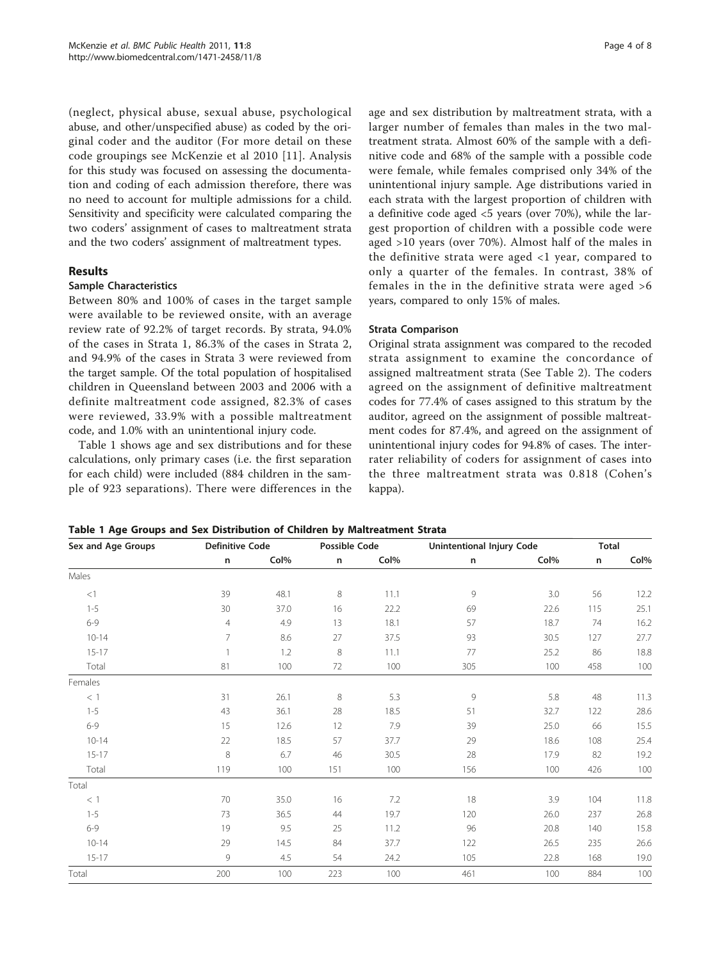(neglect, physical abuse, sexual abuse, psychological abuse, and other/unspecified abuse) as coded by the original coder and the auditor (For more detail on these code groupings see McKenzie et al 2010 [\[11\]](#page-6-0). Analysis for this study was focused on assessing the documentation and coding of each admission therefore, there was no need to account for multiple admissions for a child. Sensitivity and specificity were calculated comparing the two coders' assignment of cases to maltreatment strata and the two coders' assignment of maltreatment types.

## Results

#### Sample Characteristics

Between 80% and 100% of cases in the target sample were available to be reviewed onsite, with an average review rate of 92.2% of target records. By strata, 94.0% of the cases in Strata 1, 86.3% of the cases in Strata 2, and 94.9% of the cases in Strata 3 were reviewed from the target sample. Of the total population of hospitalised children in Queensland between 2003 and 2006 with a definite maltreatment code assigned, 82.3% of cases were reviewed, 33.9% with a possible maltreatment code, and 1.0% with an unintentional injury code.

Table 1 shows age and sex distributions and for these calculations, only primary cases (i.e. the first separation for each child) were included (884 children in the sample of 923 separations). There were differences in the age and sex distribution by maltreatment strata, with a larger number of females than males in the two maltreatment strata. Almost 60% of the sample with a definitive code and 68% of the sample with a possible code were female, while females comprised only 34% of the unintentional injury sample. Age distributions varied in each strata with the largest proportion of children with a definitive code aged  $\langle 5 \rangle$  years (over 70%), while the largest proportion of children with a possible code were aged >10 years (over 70%). Almost half of the males in the definitive strata were aged <1 year, compared to only a quarter of the females. In contrast, 38% of females in the in the definitive strata were aged >6 years, compared to only 15% of males.

## Strata Comparison

Original strata assignment was compared to the recoded strata assignment to examine the concordance of assigned maltreatment strata (See Table [2\)](#page-4-0). The coders agreed on the assignment of definitive maltreatment codes for 77.4% of cases assigned to this stratum by the auditor, agreed on the assignment of possible maltreatment codes for 87.4%, and agreed on the assignment of unintentional injury codes for 94.8% of cases. The interrater reliability of coders for assignment of cases into the three maltreatment strata was 0.818 (Cohen's kappa).

| Sex and Age Groups | <b>Definitive Code</b> |      | Possible Code |      | <b>Unintentional Injury Code</b> | <b>Total</b> |     |      |
|--------------------|------------------------|------|---------------|------|----------------------------------|--------------|-----|------|
|                    | $\mathsf{n}$           | Col% | n             | Col% | n                                | Col%         | n   | Col% |
| Males              |                        |      |               |      |                                  |              |     |      |
| $<1\,$             | 39                     | 48.1 | 8             | 11.1 | 9                                | 3.0          | 56  | 12.2 |
| $1 - 5$            | 30                     | 37.0 | 16            | 22.2 | 69                               | 22.6         | 115 | 25.1 |
| $6 - 9$            | $\overline{4}$         | 4.9  | 13            | 18.1 | 57                               | 18.7         | 74  | 16.2 |
| $10 - 14$          | 7                      | 8.6  | 27            | 37.5 | 93                               | 30.5         | 127 | 27.7 |
| $15 - 17$          |                        | 1.2  | 8             | 11.1 | 77                               | 25.2         | 86  | 18.8 |
| Total              | 81                     | 100  | 72            | 100  | 305                              | 100          | 458 | 100  |
| Females            |                        |      |               |      |                                  |              |     |      |
| $<$ 1              | 31                     | 26.1 | 8             | 5.3  | 9                                | 5.8          | 48  | 11.3 |
| $1 - 5$            | 43                     | 36.1 | 28            | 18.5 | 51                               | 32.7         | 122 | 28.6 |
| $6 - 9$            | 15                     | 12.6 | 12            | 7.9  | 39                               | 25.0         | 66  | 15.5 |
| $10 - 14$          | 22                     | 18.5 | 57            | 37.7 | 29                               | 18.6         | 108 | 25.4 |
| $15 - 17$          | 8                      | 6.7  | 46            | 30.5 | 28                               | 17.9         | 82  | 19.2 |
| Total              | 119                    | 100  | 151           | 100  | 156                              | 100          | 426 | 100  |
| Total              |                        |      |               |      |                                  |              |     |      |
| $<$ 1              | 70                     | 35.0 | 16            | 7.2  | 18                               | 3.9          | 104 | 11.8 |
| $1 - 5$            | 73                     | 36.5 | 44            | 19.7 | 120                              | 26.0         | 237 | 26.8 |
| $6 - 9$            | 19                     | 9.5  | 25            | 11.2 | 96                               | 20.8         | 140 | 15.8 |
| $10 - 14$          | 29                     | 14.5 | 84            | 37.7 | 122                              | 26.5         | 235 | 26.6 |
| $15 - 17$          | 9                      | 4.5  | 54            | 24.2 | 105                              | 22.8         | 168 | 19.0 |
| Total              | 200                    | 100  | 223           | 100  | 461                              | 100          | 884 | 100  |

Table 1 Age Groups and Sex Distribution of Children by Maltreatment Strata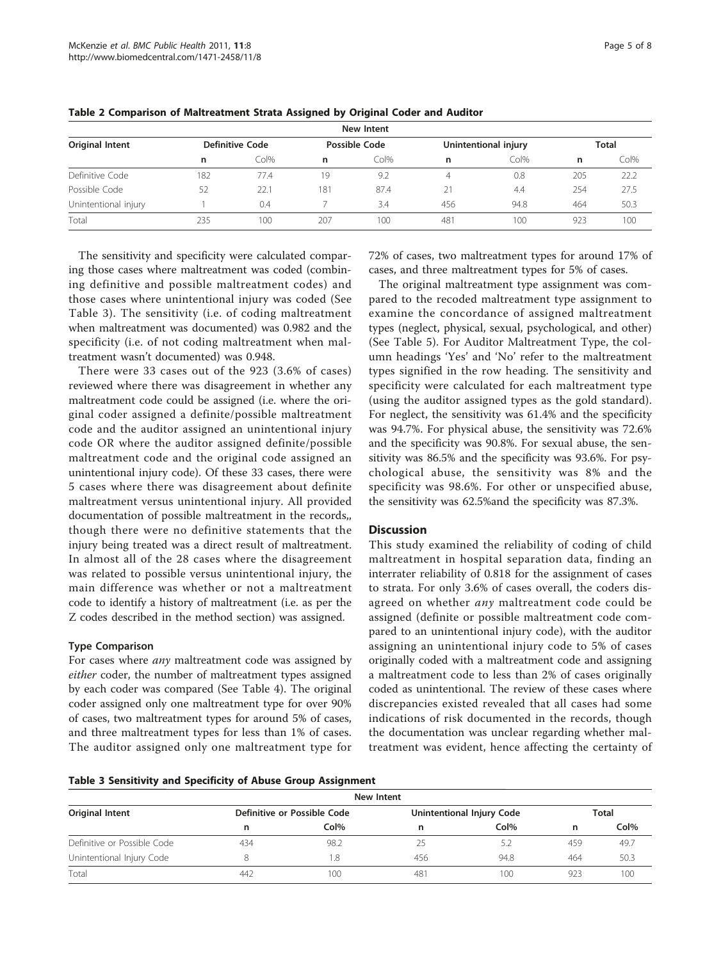| New Intent           |                        |      |               |      |                      |      |              |      |  |
|----------------------|------------------------|------|---------------|------|----------------------|------|--------------|------|--|
| Original Intent      | <b>Definitive Code</b> |      | Possible Code |      | Unintentional injury |      | <b>Total</b> |      |  |
|                      | n                      | Col% | n             | Col% | n                    | Col% | n            | Col% |  |
| Definitive Code      | 182                    | 77.4 | 19            | 9.2  | 4                    | 0.8  | 205          | 22.2 |  |
| Possible Code        | 52                     | 22.1 | 181           | 87.4 | 2 <sup>1</sup>       | 4.4  | 254          | 27.5 |  |
| Unintentional injury |                        | 0.4  |               | 3.4  | 456                  | 94.8 | 464          | 50.3 |  |
| Total                | 235                    | 100  | 207           | 100  | 481                  | 100  | 923          | 100  |  |

<span id="page-4-0"></span>Table 2 Comparison of Maltreatment Strata Assigned by Original Coder and Auditor

The sensitivity and specificity were calculated comparing those cases where maltreatment was coded (combining definitive and possible maltreatment codes) and those cases where unintentional injury was coded (See Table 3). The sensitivity (i.e. of coding maltreatment when maltreatment was documented) was 0.982 and the specificity (i.e. of not coding maltreatment when maltreatment wasn't documented) was 0.948.

There were 33 cases out of the 923 (3.6% of cases) reviewed where there was disagreement in whether any maltreatment code could be assigned (i.e. where the original coder assigned a definite/possible maltreatment code and the auditor assigned an unintentional injury code OR where the auditor assigned definite/possible maltreatment code and the original code assigned an unintentional injury code). Of these 33 cases, there were 5 cases where there was disagreement about definite maltreatment versus unintentional injury. All provided documentation of possible maltreatment in the records,, though there were no definitive statements that the injury being treated was a direct result of maltreatment. In almost all of the 28 cases where the disagreement was related to possible versus unintentional injury, the main difference was whether or not a maltreatment code to identify a history of maltreatment (i.e. as per the Z codes described in the method section) was assigned.

## Type Comparison

For cases where any maltreatment code was assigned by either coder, the number of maltreatment types assigned by each coder was compared (See Table [4](#page-5-0)). The original coder assigned only one maltreatment type for over 90% of cases, two maltreatment types for around 5% of cases, and three maltreatment types for less than 1% of cases. The auditor assigned only one maltreatment type for

72% of cases, two maltreatment types for around 17% of cases, and three maltreatment types for 5% of cases.

The original maltreatment type assignment was compared to the recoded maltreatment type assignment to examine the concordance of assigned maltreatment types (neglect, physical, sexual, psychological, and other) (See Table [5](#page-5-0)). For Auditor Maltreatment Type, the column headings 'Yes' and 'No' refer to the maltreatment types signified in the row heading. The sensitivity and specificity were calculated for each maltreatment type (using the auditor assigned types as the gold standard). For neglect, the sensitivity was 61.4% and the specificity was 94.7%. For physical abuse, the sensitivity was 72.6% and the specificity was 90.8%. For sexual abuse, the sensitivity was 86.5% and the specificity was 93.6%. For psychological abuse, the sensitivity was 8% and the specificity was 98.6%. For other or unspecified abuse, the sensitivity was 62.5%and the specificity was 87.3%.

#### **Discussion**

This study examined the reliability of coding of child maltreatment in hospital separation data, finding an interrater reliability of 0.818 for the assignment of cases to strata. For only 3.6% of cases overall, the coders disagreed on whether *any* maltreatment code could be assigned (definite or possible maltreatment code compared to an unintentional injury code), with the auditor assigning an unintentional injury code to 5% of cases originally coded with a maltreatment code and assigning a maltreatment code to less than 2% of cases originally coded as unintentional. The review of these cases where discrepancies existed revealed that all cases had some indications of risk documented in the records, though the documentation was unclear regarding whether maltreatment was evident, hence affecting the certainty of

Table 3 Sensitivity and Specificity of Abuse Group Assignment

| Original Intent             |     | Definitive or Possible Code | Unintentional Injury Code | Total |     |      |
|-----------------------------|-----|-----------------------------|---------------------------|-------|-----|------|
|                             | n   | Col%                        |                           | Col%  | n   | Col% |
| Definitive or Possible Code | 434 | 98.2                        |                           | 5.2   | 459 | 49.7 |
| Unintentional Injury Code   |     | 1.8                         | 456                       | 94.8  | 464 | 50.3 |
| Total                       | 442 | 100                         | 481                       | 100   | 923 | 100  |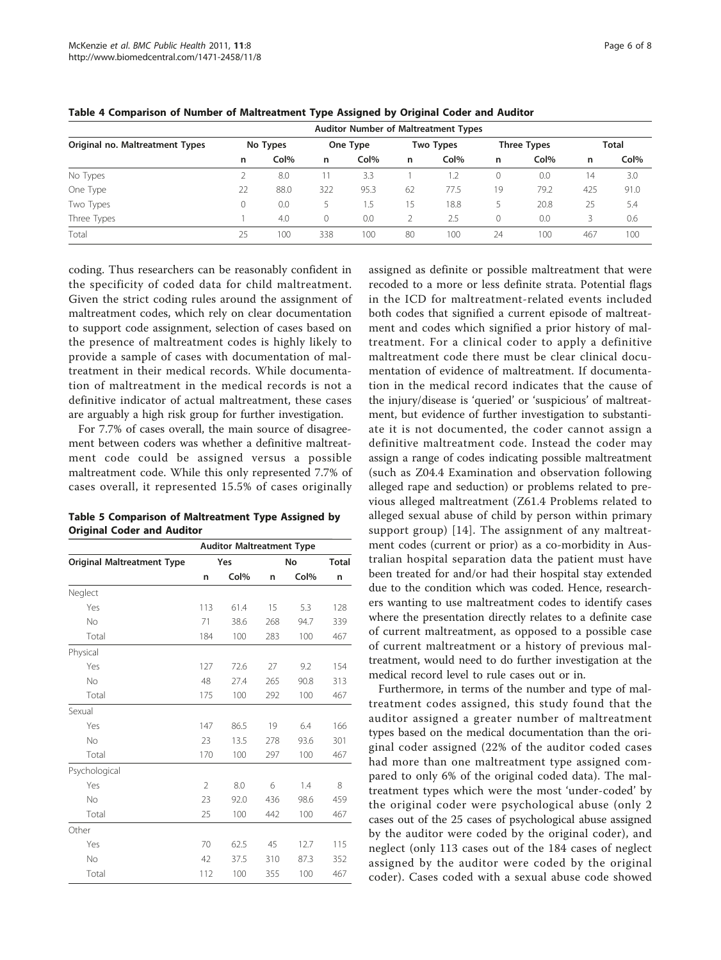|                                 | <b>Auditor Number of Maltreatment Types</b> |      |          |      |                  |      |                    |      |       |      |
|---------------------------------|---------------------------------------------|------|----------|------|------------------|------|--------------------|------|-------|------|
| Original no. Maltreatment Types | No Types                                    |      | One Type |      | <b>Two Types</b> |      | <b>Three Types</b> |      | Total |      |
|                                 | n                                           | Col% | n        | Col% | n                | Col% | n                  | Col% | n     | Col% |
| No Types                        |                                             | 8.0  |          | 3.3  |                  | 1.2  | 0                  | 0.0  | 14    | 3.0  |
| One Type                        | 22                                          | 88.0 | 322      | 95.3 | 62               | 77.5 | 19                 | 79.2 | 425   | 91.0 |
| Two Types                       | 0                                           | 0.0  |          | 1.5  | 15               | 18.8 |                    | 20.8 | 25    | 5.4  |
| Three Types                     |                                             | 4.0  | $\Omega$ | 0.0  |                  | 2.5  | 0                  | 0.0  |       | 0.6  |
| Total                           | 25                                          | 100  | 338      | 100  | 80               | 100  | 24                 | 100  | 467   | 100  |

<span id="page-5-0"></span>Table 4 Comparison of Number of Maltreatment Type Assigned by Original Coder and Auditor

coding. Thus researchers can be reasonably confident in the specificity of coded data for child maltreatment. Given the strict coding rules around the assignment of maltreatment codes, which rely on clear documentation to support code assignment, selection of cases based on the presence of maltreatment codes is highly likely to provide a sample of cases with documentation of maltreatment in their medical records. While documentation of maltreatment in the medical records is not a definitive indicator of actual maltreatment, these cases are arguably a high risk group for further investigation.

For 7.7% of cases overall, the main source of disagreement between coders was whether a definitive maltreatment code could be assigned versus a possible maltreatment code. While this only represented 7.7% of cases overall, it represented 15.5% of cases originally

Table 5 Comparison of Maltreatment Type Assigned by Original Coder and Auditor

|                                   | <b>Auditor Maltreatment Type</b> |      |     |              |     |  |  |  |  |
|-----------------------------------|----------------------------------|------|-----|--------------|-----|--|--|--|--|
| <b>Original Maltreatment Type</b> |                                  | Yes  | No  | <b>Total</b> |     |  |  |  |  |
|                                   | n                                | Col% | n   | Col%         | n   |  |  |  |  |
| Neglect                           |                                  |      |     |              |     |  |  |  |  |
| Yes                               | 113                              | 61.4 | 15  | 5.3          | 128 |  |  |  |  |
| No                                | 71                               | 38.6 | 268 | 94.7         | 339 |  |  |  |  |
| Total                             | 184                              | 100  | 283 | 100          | 467 |  |  |  |  |
| Physical                          |                                  |      |     |              |     |  |  |  |  |
| Yes                               | 127                              | 72.6 | 27  | 9.2          | 154 |  |  |  |  |
| No                                | 48                               | 27.4 | 265 | 90.8         | 313 |  |  |  |  |
| Total                             | 175                              | 100  | 292 | 100          | 467 |  |  |  |  |
| Sexual                            |                                  |      |     |              |     |  |  |  |  |
| Yes                               | 147                              | 86.5 | 19  | 6.4          | 166 |  |  |  |  |
| No                                | 23                               | 13.5 | 278 | 93.6         | 301 |  |  |  |  |
| Total                             | 170                              | 100  | 297 | 100          | 467 |  |  |  |  |
| Psychological                     |                                  |      |     |              |     |  |  |  |  |
| Yes                               | $\overline{2}$                   | 8.0  | 6   | 1.4          | 8   |  |  |  |  |
| No                                | 23                               | 92.0 | 436 | 98.6         | 459 |  |  |  |  |
| Total                             | 25                               | 100  | 442 | 100          | 467 |  |  |  |  |
| Other                             |                                  |      |     |              |     |  |  |  |  |
| Yes                               | 70                               | 62.5 | 45  | 12.7         | 115 |  |  |  |  |
| No                                | 42                               | 37.5 | 310 | 87.3         | 352 |  |  |  |  |
| Total                             | 112                              | 100  | 355 | 100          | 467 |  |  |  |  |

assigned as definite or possible maltreatment that were recoded to a more or less definite strata. Potential flags in the ICD for maltreatment-related events included both codes that signified a current episode of maltreatment and codes which signified a prior history of maltreatment. For a clinical coder to apply a definitive maltreatment code there must be clear clinical documentation of evidence of maltreatment. If documentation in the medical record indicates that the cause of the injury/disease is 'queried' or 'suspicious' of maltreatment, but evidence of further investigation to substantiate it is not documented, the coder cannot assign a definitive maltreatment code. Instead the coder may assign a range of codes indicating possible maltreatment (such as Z04.4 Examination and observation following alleged rape and seduction) or problems related to previous alleged maltreatment (Z61.4 Problems related to alleged sexual abuse of child by person within primary support group) [[14](#page-7-0)]. The assignment of any maltreatment codes (current or prior) as a co-morbidity in Australian hospital separation data the patient must have been treated for and/or had their hospital stay extended due to the condition which was coded. Hence, researchers wanting to use maltreatment codes to identify cases where the presentation directly relates to a definite case of current maltreatment, as opposed to a possible case of current maltreatment or a history of previous maltreatment, would need to do further investigation at the medical record level to rule cases out or in.

Furthermore, in terms of the number and type of maltreatment codes assigned, this study found that the auditor assigned a greater number of maltreatment types based on the medical documentation than the original coder assigned (22% of the auditor coded cases had more than one maltreatment type assigned compared to only 6% of the original coded data). The maltreatment types which were the most 'under-coded' by the original coder were psychological abuse (only 2 cases out of the 25 cases of psychological abuse assigned by the auditor were coded by the original coder), and neglect (only 113 cases out of the 184 cases of neglect assigned by the auditor were coded by the original coder). Cases coded with a sexual abuse code showed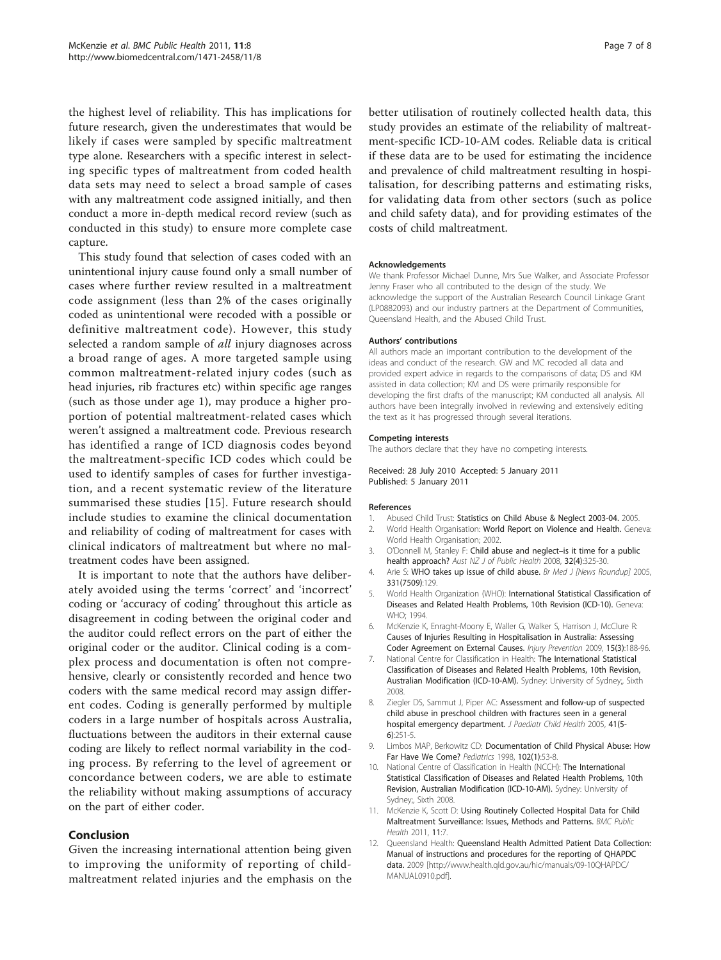<span id="page-6-0"></span>the highest level of reliability. This has implications for future research, given the underestimates that would be likely if cases were sampled by specific maltreatment type alone. Researchers with a specific interest in selecting specific types of maltreatment from coded health data sets may need to select a broad sample of cases with any maltreatment code assigned initially, and then conduct a more in-depth medical record review (such as conducted in this study) to ensure more complete case capture.

This study found that selection of cases coded with an unintentional injury cause found only a small number of cases where further review resulted in a maltreatment code assignment (less than 2% of the cases originally coded as unintentional were recoded with a possible or definitive maltreatment code). However, this study selected a random sample of *all* injury diagnoses across a broad range of ages. A more targeted sample using common maltreatment-related injury codes (such as head injuries, rib fractures etc) within specific age ranges (such as those under age 1), may produce a higher proportion of potential maltreatment-related cases which weren't assigned a maltreatment code. Previous research has identified a range of ICD diagnosis codes beyond the maltreatment-specific ICD codes which could be used to identify samples of cases for further investigation, and a recent systematic review of the literature summarised these studies [[15\]](#page-7-0). Future research should include studies to examine the clinical documentation and reliability of coding of maltreatment for cases with clinical indicators of maltreatment but where no maltreatment codes have been assigned.

It is important to note that the authors have deliberately avoided using the terms 'correct' and 'incorrect' coding or 'accuracy of coding' throughout this article as disagreement in coding between the original coder and the auditor could reflect errors on the part of either the original coder or the auditor. Clinical coding is a complex process and documentation is often not comprehensive, clearly or consistently recorded and hence two coders with the same medical record may assign different codes. Coding is generally performed by multiple coders in a large number of hospitals across Australia, fluctuations between the auditors in their external cause coding are likely to reflect normal variability in the coding process. By referring to the level of agreement or concordance between coders, we are able to estimate the reliability without making assumptions of accuracy on the part of either coder.

## Conclusion

Given the increasing international attention being given to improving the uniformity of reporting of childmaltreatment related injuries and the emphasis on the better utilisation of routinely collected health data, this study provides an estimate of the reliability of maltreatment-specific ICD-10-AM codes. Reliable data is critical if these data are to be used for estimating the incidence and prevalence of child maltreatment resulting in hospitalisation, for describing patterns and estimating risks, for validating data from other sectors (such as police and child safety data), and for providing estimates of the costs of child maltreatment.

#### Acknowledgements

We thank Professor Michael Dunne, Mrs Sue Walker, and Associate Professor Jenny Fraser who all contributed to the design of the study. We acknowledge the support of the Australian Research Council Linkage Grant (LP0882093) and our industry partners at the Department of Communities, Queensland Health, and the Abused Child Trust.

#### Authors' contributions

All authors made an important contribution to the development of the ideas and conduct of the research. GW and MC recoded all data and provided expert advice in regards to the comparisons of data; DS and KM assisted in data collection; KM and DS were primarily responsible for developing the first drafts of the manuscript; KM conducted all analysis. All authors have been integrally involved in reviewing and extensively editing the text as it has progressed through several iterations.

#### Competing interests

The authors declare that they have no competing interests.

Received: 28 July 2010 Accepted: 5 January 2011 Published: 5 January 2011

#### References

- 1. Abused Child Trust: Statistics on Child Abuse & Neglect 2003-04. 2005
- 2. World Health Organisation: World Report on Violence and Health. Geneva: World Health Organisation; 2002.
- 3. O'Donnell M, Stanley F: Child abuse and neglect–is it time for a public health approach? Aust NZ J of Public Health 2008, 32(4):325-30.
- 4. Arie S: WHO takes up issue of child abuse. Br Med J [News Roundup] 2005, 331(7509):129.
- 5. World Health Organization (WHO): International Statistical Classification of Diseases and Related Health Problems, 10th Revision (ICD-10). Geneva: WHO; 1994.
- 6. McKenzie K, Enraght-Moony E, Waller G, Walker S, Harrison J, McClure R: [Causes of Injuries Resulting in Hospitalisation in Australia: Assessing](http://www.ncbi.nlm.nih.gov/pubmed/19494099?dopt=Abstract) [Coder Agreement on External Causes.](http://www.ncbi.nlm.nih.gov/pubmed/19494099?dopt=Abstract) Injury Prevention 2009, 15(3):188-96.
- National Centre for Classification in Health: The International Statistical Classification of Diseases and Related Health Problems, 10th Revision, Australian Modification (ICD-10-AM). Sydney: University of Sydney;, Sixth 2008.
- 8. Ziegler DS, Sammut J, Piper AC: [Assessment and follow-up of suspected](http://www.ncbi.nlm.nih.gov/pubmed/15953323?dopt=Abstract) [child abuse in preschool children with fractures seen in a general](http://www.ncbi.nlm.nih.gov/pubmed/15953323?dopt=Abstract) [hospital emergency department.](http://www.ncbi.nlm.nih.gov/pubmed/15953323?dopt=Abstract) J Paediatr Child Health 2005, 41(5- 6):251-5.
- 9. Limbos MAP, Berkowitz CD: [Documentation of Child Physical Abuse: How](http://www.ncbi.nlm.nih.gov/pubmed/9651413?dopt=Abstract) [Far Have We Come?](http://www.ncbi.nlm.nih.gov/pubmed/9651413?dopt=Abstract) Pediatrics 1998, 102(1):53-8.
- 10. National Centre of Classification in Health (NCCH): The International Statistical Classification of Diseases and Related Health Problems, 10th Revision, Australian Modification (ICD-10-AM). Sydney: University of Sydney;, Sixth 2008.
- 11. McKenzie K, Scott D: [Using Routinely Collected Hospital Data for Child](http://www.ncbi.nlm.nih.gov/pubmed/21208410?dopt=Abstract) [Maltreatment Surveillance: Issues, Methods and Patterns.](http://www.ncbi.nlm.nih.gov/pubmed/21208410?dopt=Abstract) BMC Public Health 2011, 11:7.
- 12. Queensland Health: Queensland Health Admitted Patient Data Collection: Manual of instructions and procedures for the reporting of QHAPDC data. 2009 [\[http://www.health.qld.gov.au/hic/manuals/09-10QHAPDC/](http://www.health.qld.gov.au/hic/manuals/09-10QHAPDC/MANUAL0910.pdf) [MANUAL0910.pdf\]](http://www.health.qld.gov.au/hic/manuals/09-10QHAPDC/MANUAL0910.pdf).